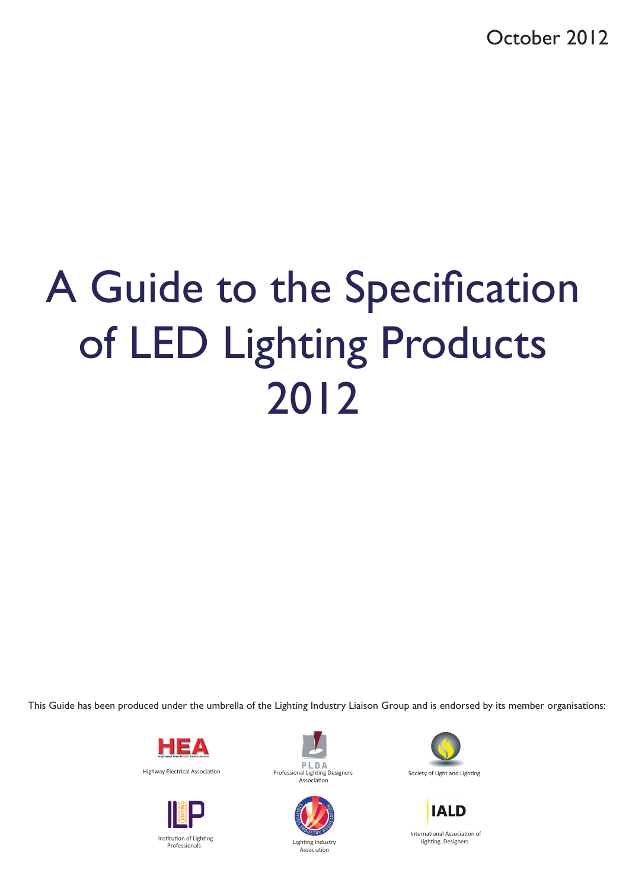October 2012

# A Guide to the Specification of LED Lighting Products 2012

This Guide has been produced under the umbrella of the Lighting Industry Liaison Group and is endorsed by its member organisations:





Institution of Lighting Professionals





Association

Society of Light and Lighting



Lighting Designers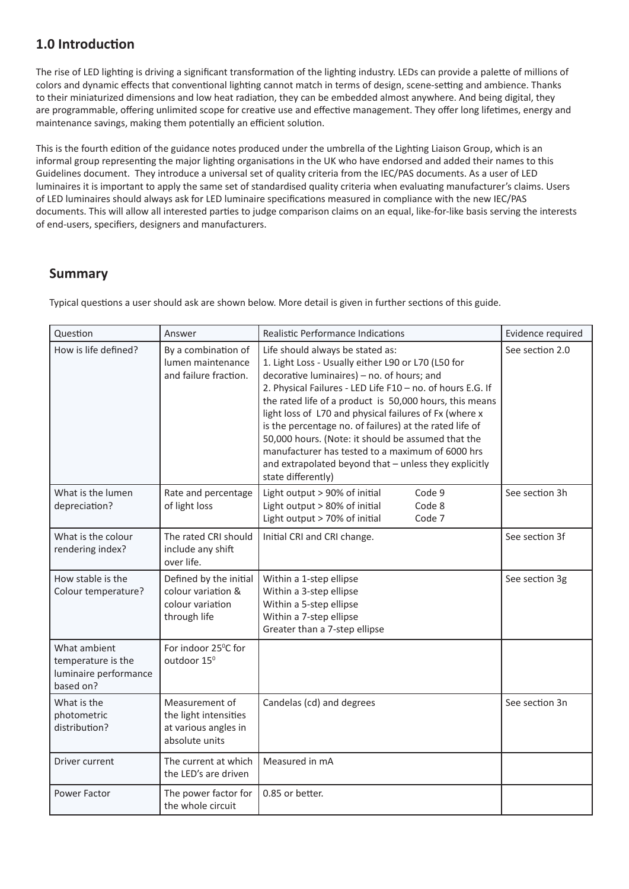# **1.0 Introduction**

The rise of LED lighting is driving a significant transformation of the lighting industry. LEDs can provide a palette of millions of colors and dynamic effects that conventional lighting cannot match in terms of design, scene-setting and ambience. Thanks to their miniaturized dimensions and low heat radiation, they can be embedded almost anywhere. And being digital, they are programmable, offering unlimited scope for creative use and effective management. They offer long lifetimes, energy and maintenance savings, making them potentially an efficient solution.

This is the fourth edition of the guidance notes produced under the umbrella of the Lighting Liaison Group, which is an informal group representing the major lighting organisations in the UK who have endorsed and added their names to this Guidelines document. They introduce a universal set of quality criteria from the IEC/PAS documents. As a user of LED luminaires it is important to apply the same set of standardised quality criteria when evaluating manufacturer's claims. Users of LED luminaires should always ask for LED luminaire specifications measured in compliance with the new IEC/PAS documents. This will allow all interested parties to judge comparison claims on an equal, like-for-like basis serving the interests of end-users, specifiers, designers and manufacturers.

## **Summary**

Typical questions a user should ask are shown below. More detail is given in further sections of this guide.

| Question                                                                 | Answer                                                                            | Realistic Performance Indications                                                                                                                                                                                                                                                                                                                                                                                                                                                                                                                                           | Evidence required |
|--------------------------------------------------------------------------|-----------------------------------------------------------------------------------|-----------------------------------------------------------------------------------------------------------------------------------------------------------------------------------------------------------------------------------------------------------------------------------------------------------------------------------------------------------------------------------------------------------------------------------------------------------------------------------------------------------------------------------------------------------------------------|-------------------|
| How is life defined?                                                     | By a combination of<br>lumen maintenance<br>and failure fraction.                 | Life should always be stated as:<br>1. Light Loss - Usually either L90 or L70 (L50 for<br>decorative luminaires) - no. of hours; and<br>2. Physical Failures - LED Life F10 - no. of hours E.G. If<br>the rated life of a product is 50,000 hours, this means<br>light loss of L70 and physical failures of Fx (where x<br>is the percentage no. of failures) at the rated life of<br>50,000 hours. (Note: it should be assumed that the<br>manufacturer has tested to a maximum of 6000 hrs<br>and extrapolated beyond that - unless they explicitly<br>state differently) | See section 2.0   |
| What is the lumen<br>depreciation?                                       | Rate and percentage<br>of light loss                                              | Light output > 90% of initial<br>Code 9<br>Light output > 80% of initial<br>Code 8<br>Light output > 70% of initial<br>Code 7                                                                                                                                                                                                                                                                                                                                                                                                                                               | See section 3h    |
| What is the colour<br>rendering index?                                   | The rated CRI should<br>include any shift<br>over life.                           | Initial CRI and CRI change.                                                                                                                                                                                                                                                                                                                                                                                                                                                                                                                                                 | See section 3f    |
| How stable is the<br>Colour temperature?                                 | Defined by the initial<br>colour variation &<br>colour variation<br>through life  | Within a 1-step ellipse<br>Within a 3-step ellipse<br>Within a 5-step ellipse<br>Within a 7-step ellipse<br>Greater than a 7-step ellipse                                                                                                                                                                                                                                                                                                                                                                                                                                   | See section 3g    |
| What ambient<br>temperature is the<br>luminaire performance<br>based on? | For indoor 25°C for<br>outdoor 15 <sup>0</sup>                                    |                                                                                                                                                                                                                                                                                                                                                                                                                                                                                                                                                                             |                   |
| What is the<br>photometric<br>distribution?                              | Measurement of<br>the light intensities<br>at various angles in<br>absolute units | Candelas (cd) and degrees                                                                                                                                                                                                                                                                                                                                                                                                                                                                                                                                                   | See section 3n    |
| Driver current                                                           | The current at which<br>the LED's are driven                                      | Measured in mA                                                                                                                                                                                                                                                                                                                                                                                                                                                                                                                                                              |                   |
| Power Factor                                                             | The power factor for<br>the whole circuit                                         | 0.85 or better.                                                                                                                                                                                                                                                                                                                                                                                                                                                                                                                                                             |                   |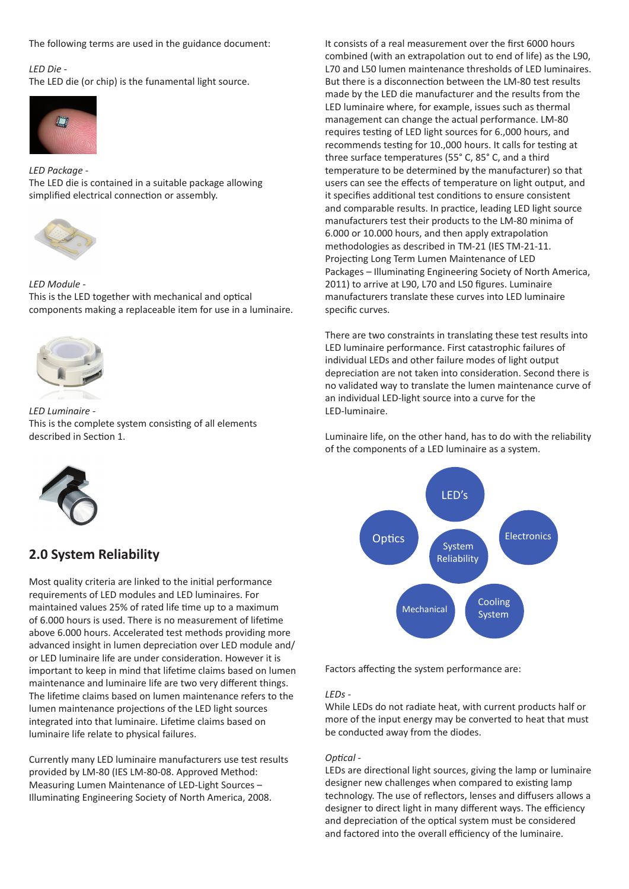The following terms are used in the guidance document:

#### *LED Die -*

The LED die (or chip) is the funamental light source.



*LED Package* - The LED die is contained in a suitable package allowing simplified electrical connection or assembly.



*LED Module -* This is the LED together with mechanical and optical components making a replaceable item for use in a luminaire.



*LED Luminaire -* This is the complete system consisting of all elements described in Section 1.



## **2.0 System Reliability**

Most quality criteria are linked to the initial performance requirements of LED modules and LED luminaires. For maintained values 25% of rated life time up to a maximum of 6.000 hours is used. There is no measurement of lifetime above 6.000 hours. Accelerated test methods providing more advanced insight in lumen depreciation over LED module and/ or LED luminaire life are under consideration. However it is important to keep in mind that lifetime claims based on lumen maintenance and luminaire life are two very different things. The lifetime claims based on lumen maintenance refers to the lumen maintenance projections of the LED light sources integrated into that luminaire. Lifetime claims based on luminaire life relate to physical failures.

Currently many LED luminaire manufacturers use test results provided by LM-80 (IES LM-80-08. Approved Method: Measuring Lumen Maintenance of LED-Light Sources – Illuminating Engineering Society of North America, 2008.

It consists of a real measurement over the first 6000 hours combined (with an extrapolation out to end of life) as the L90, L70 and L50 lumen maintenance thresholds of LED luminaires. But there is a disconnection between the LM-80 test results made by the LED die manufacturer and the results from the LED luminaire where, for example, issues such as thermal management can change the actual performance. LM-80 requires testing of LED light sources for 6.,000 hours, and recommends testing for 10.,000 hours. It calls for testing at three surface temperatures (55° C, 85° C, and a third temperature to be determined by the manufacturer) so that users can see the effects of temperature on light output, and it specifies additional test conditions to ensure consistent and comparable results. In practice, leading LED light source manufacturers test their products to the LM-80 minima of 6.000 or 10.000 hours, and then apply extrapolation methodologies as described in TM-21 (IES TM-21-11. Projecting Long Term Lumen Maintenance of LED Packages – Illuminating Engineering Society of North America, 2011) to arrive at L90, L70 and L50 figures. Luminaire manufacturers translate these curves into LED luminaire specific curves.

There are two constraints in translating these test results into LED luminaire performance. First catastrophic failures of individual LEDs and other failure modes of light output depreciation are not taken into consideration. Second there is no validated way to translate the lumen maintenance curve of an individual LED-light source into a curve for the LED-luminaire.

Luminaire life, on the other hand, has to do with the reliability of the components of a LED luminaire as a system.



Factors affecting the system performance are:

#### *LEDs -*

While LEDs do not radiate heat, with current products half or more of the input energy may be converted to heat that must be conducted away from the diodes.

#### *Optical -*

LEDs are directional light sources, giving the lamp or luminaire designer new challenges when compared to existing lamp technology. The use of reflectors, lenses and diffusers allows a designer to direct light in many different ways. The efficiency and depreciation of the optical system must be considered and factored into the overall efficiency of the luminaire.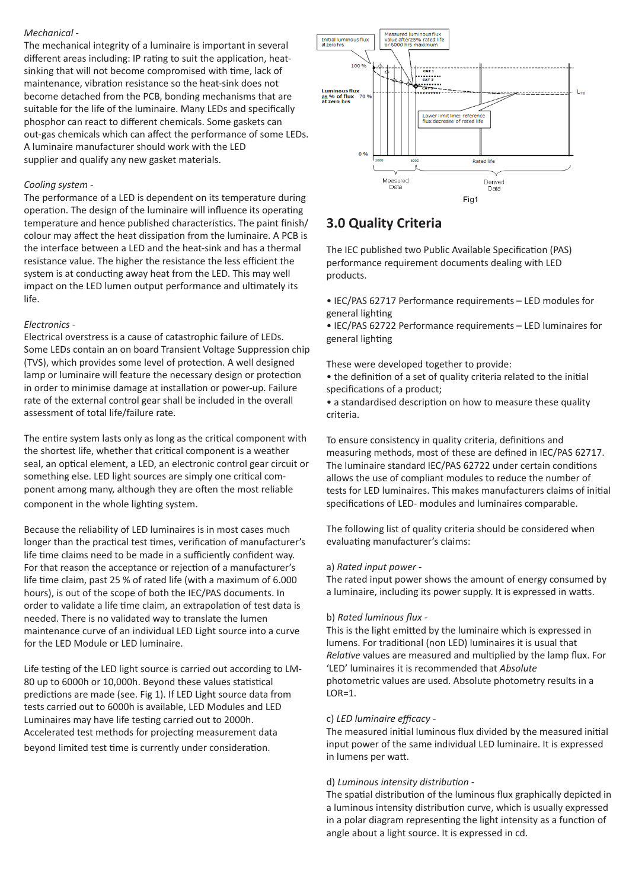#### *Mechanical* -

The mechanical integrity of a luminaire is important in several different areas including: IP rating to suit the application, heatsinking that will not become compromised with time, lack of maintenance, vibration resistance so the heat-sink does not become detached from the PCB, bonding mechanisms that are suitable for the life of the luminaire. Many LEDs and specifically phosphor can react to different chemicals. Some gaskets can out-gas chemicals which can affect the performance of some LEDs. A luminaire manufacturer should work with the LED supplier and qualify any new gasket materials.

#### *Cooling system -*

The performance of a LED is dependent on its temperature during operation. The design of the luminaire will influence its operating temperature and hence published characteristics. The paint finish/ colour may affect the heat dissipation from the luminaire. A PCB is the interface between a LED and the heat-sink and has a thermal resistance value. The higher the resistance the less efficient the system is at conducting away heat from the LED. This may well impact on the LED lumen output performance and ultimately its life.

#### *Electronics* -

Electrical overstress is a cause of catastrophic failure of LEDs. Some LEDs contain an on board Transient Voltage Suppression chip (TVS), which provides some level of protection. A well designed lamp or luminaire will feature the necessary design or protection in order to minimise damage at installation or power-up. Failure rate of the external control gear shall be included in the overall assessment of total life/failure rate.

The entire system lasts only as long as the critical component with the shortest life, whether that critical component is a weather seal, an optical element, a LED, an electronic control gear circuit or something else. LED light sources are simply one critical component among many, although they are often the most reliable component in the whole lighting system.

Because the reliability of LED luminaires is in most cases much longer than the practical test times, verification of manufacturer's life time claims need to be made in a sufficiently confident way. For that reason the acceptance or rejection of a manufacturer's life time claim, past 25 % of rated life (with a maximum of 6.000 hours), is out of the scope of both the IEC/PAS documents. In order to validate a life time claim, an extrapolation of test data is needed. There is no validated way to translate the lumen maintenance curve of an individual LED Light source into a curve for the LED Module or LED luminaire.

Life testing of the LED light source is carried out according to LM-80 up to 6000h or 10,000h. Beyond these values statistical predictions are made (see. Fig 1). If LED Light source data from tests carried out to 6000h is available, LED Modules and LED Luminaires may have life testing carried out to 2000h. Accelerated test methods for projecting measurement data beyond limited test time is currently under consideration.



# **3.0 Quality Criteria**

The IEC published two Public Available Specification (PAS) performance requirement documents dealing with LED products.

• IEC/PAS 62717 Performance requirements – LED modules for general lighting

• IEC/PAS 62722 Performance requirements – LED luminaires for general lighting

These were developed together to provide:

• the definition of a set of quality criteria related to the initial specifications of a product;

• a standardised description on how to measure these quality criteria.

To ensure consistency in quality criteria, definitions and measuring methods, most of these are defined in IEC/PAS 62717. The luminaire standard IEC/PAS 62722 under certain conditions allows the use of compliant modules to reduce the number of tests for LED luminaires. This makes manufacturers claims of initial specifications of LED- modules and luminaires comparable.

The following list of quality criteria should be considered when evaluating manufacturer's claims:

#### a) *Rated input power -*

The rated input power shows the amount of energy consumed by a luminaire, including its power supply. It is expressed in watts.

#### b) *Rated luminous flux -*

This is the light emitted by the luminaire which is expressed in lumens. For traditional (non LED) luminaires it is usual that *Relative* values are measured and multiplied by the lamp flux. For 'LED' luminaires it is recommended that *Absolute* photometric values are used. Absolute photometry results in a LOR=1.

#### c) *LED luminaire efficacy -*

The measured initial luminous flux divided by the measured initial input power of the same individual LED luminaire. It is expressed in lumens per watt.

#### d) *Luminous intensity distribution -*

The spatial distribution of the luminous flux graphically depicted in a luminous intensity distribution curve, which is usually expressed in a polar diagram representing the light intensity as a function of angle about a light source. It is expressed in cd.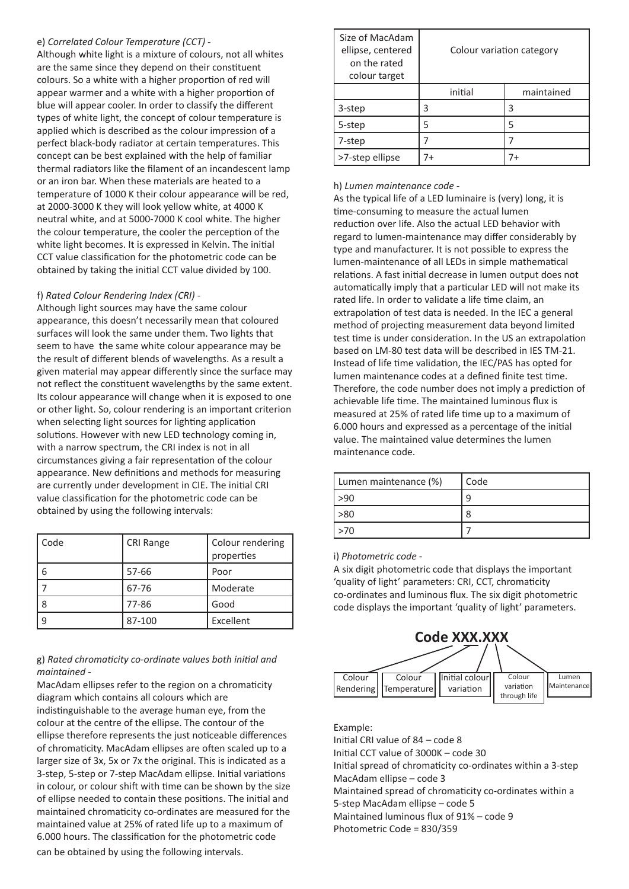#### e) *Correlated Colour Temperature (CCT) -*

Although white light is a mixture of colours, not all whites are the same since they depend on their constituent colours. So a white with a higher proportion of red will appear warmer and a white with a higher proportion of blue will appear cooler. In order to classify the different types of white light, the concept of colour temperature is applied which is described as the colour impression of a perfect black-body radiator at certain temperatures. This concept can be best explained with the help of familiar thermal radiators like the filament of an incandescent lamp or an iron bar. When these materials are heated to a temperature of 1000 K their colour appearance will be red, at 2000-3000 K they will look yellow white, at 4000 K neutral white, and at 5000-7000 K cool white. The higher the colour temperature, the cooler the perception of the white light becomes. It is expressed in Kelvin. The initial CCT value classification for the photometric code can be obtained by taking the initial CCT value divided by 100.

#### f) *Rated Colour Rendering Index (CRI) -*

Although light sources may have the same colour appearance, this doesn't necessarily mean that coloured surfaces will look the same under them. Two lights that seem to have the same white colour appearance may be the result of different blends of wavelengths. As a result a given material may appear differently since the surface may not reflect the constituent wavelengths by the same extent. Its colour appearance will change when it is exposed to one or other light. So, colour rendering is an important criterion when selecting light sources for lighting application solutions. However with new LED technology coming in, with a narrow spectrum, the CRI index is not in all circumstances giving a fair representation of the colour appearance. New definitions and methods for measuring are currently under development in CIE. The initial CRI value classification for the photometric code can be obtained by using the following intervals:

| Code | <b>CRI Range</b> | Colour rendering<br>properties |
|------|------------------|--------------------------------|
| 6    | 57-66            | Poor                           |
|      | 67-76            | Moderate                       |
| 8    | 77-86            | Good                           |
| 9    | 87-100           | Excellent                      |

#### g) *Rated chromaticity co-ordinate values both initial and maintained -*

MacAdam ellipses refer to the region on a chromaticity diagram which contains all colours which are indistinguishable to the average human eye, from the colour at the centre of the ellipse. The contour of the ellipse therefore represents the just noticeable differences of chromaticity. MacAdam ellipses are often scaled up to a larger size of 3x, 5x or 7x the original. This is indicated as a 3-step, 5-step or 7-step MacAdam ellipse. Initial variations in colour, or colour shift with time can be shown by the size of ellipse needed to contain these positions. The initial and maintained chromaticity co-ordinates are measured for the maintained value at 25% of rated life up to a maximum of 6.000 hours. The classification for the photometric code can be obtained by using the following intervals.

| Size of MacAdam<br>ellipse, centered<br>on the rated<br>colour target | Colour variation category |            |
|-----------------------------------------------------------------------|---------------------------|------------|
|                                                                       | initial                   | maintained |
| 3-step                                                                | ੨                         | 3          |
| 5-step                                                                | 5                         | 5          |
| 7-step                                                                |                           |            |
| >7-step ellipse                                                       | 7+                        | 7+         |

#### h) *Lumen maintenance code -*

As the typical life of a LED luminaire is (very) long, it is time-consuming to measure the actual lumen reduction over life. Also the actual LED behavior with regard to lumen-maintenance may differ considerably by type and manufacturer. It is not possible to express the lumen-maintenance of all LEDs in simple mathematical relations. A fast initial decrease in lumen output does not automatically imply that a particular LED will not make its rated life. In order to validate a life time claim, an extrapolation of test data is needed. In the IEC a general method of projecting measurement data beyond limited test time is under consideration. In the US an extrapolation based on LM-80 test data will be described in IES TM-21. Instead of life time validation, the IEC/PAS has opted for lumen maintenance codes at a defined finite test time. Therefore, the code number does not imply a prediction of achievable life time. The maintained luminous flux is measured at 25% of rated life time up to a maximum of 6.000 hours and expressed as a percentage of the initial value. The maintained value determines the lumen maintenance code.

| Lumen maintenance (%) | Code |
|-----------------------|------|
| -90                   |      |
| >80                   | 8    |
| l >70                 |      |

#### i) *Photometric code -*

A six digit photometric code that displays the important 'quality of light' parameters: CRI, CCT, chromaticity co-ordinates and luminous flux. The six digit photometric code displays the important 'quality of light' parameters.



Example:

Initial CRI value of 84 – code 8

Initial CCT value of 3000K – code 30

Initial spread of chromaticity co-ordinates within a 3-step MacAdam ellipse – code 3

Maintained spread of chromaticity co-ordinates within a 5-step MacAdam ellipse – code 5

Maintained luminous flux of 91% – code 9

Photometric Code = 830/359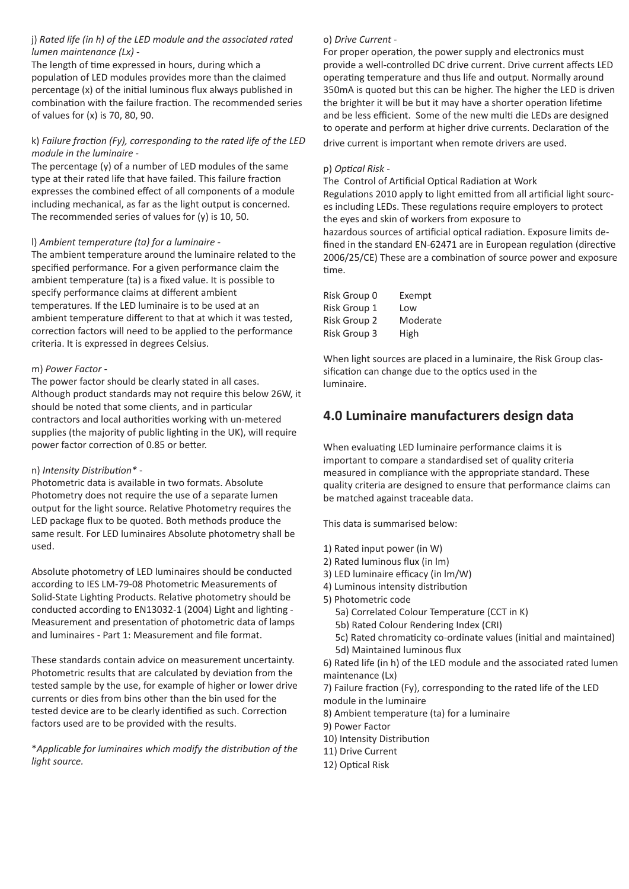#### j) *Rated life (in h) of the LED module and the associated rated lumen maintenance (Lx) -*

The length of time expressed in hours, during which a population of LED modules provides more than the claimed percentage (x) of the initial luminous flux always published in combination with the failure fraction. The recommended series of values for (x) is 70, 80, 90.

#### k) *Failure fraction (Fy), corresponding to the rated life of the LED module in the luminaire* -

The percentage (y) of a number of LED modules of the same type at their rated life that have failed. This failure fraction expresses the combined effect of all components of a module including mechanical, as far as the light output is concerned. The recommended series of values for (y) is 10, 50.

#### l) *Ambient temperature (ta) for a luminaire -*

The ambient temperature around the luminaire related to the specified performance. For a given performance claim the ambient temperature (ta) is a fixed value. It is possible to specify performance claims at different ambient temperatures. If the LED luminaire is to be used at an ambient temperature different to that at which it was tested, correction factors will need to be applied to the performance criteria. It is expressed in degrees Celsius.

#### m) *Power Factor -*

The power factor should be clearly stated in all cases. Although product standards may not require this below 26W, it should be noted that some clients, and in particular contractors and local authorities working with un-metered supplies (the majority of public lighting in the UK), will require power factor correction of 0.85 or better.

#### n) *Intensity Distribution\** -

Photometric data is available in two formats. Absolute Photometry does not require the use of a separate lumen output for the light source. Relative Photometry requires the LED package flux to be quoted. Both methods produce the same result. For LED luminaires Absolute photometry shall be used.

Absolute photometry of LED luminaires should be conducted according to IES LM-79-08 Photometric Measurements of Solid-State Lighting Products. Relative photometry should be conducted according to EN13032-1 (2004) Light and lighting - Measurement and presentation of photometric data of lamps and luminaires - Part 1: Measurement and file format.

These standards contain advice on measurement uncertainty. Photometric results that are calculated by deviation from the tested sample by the use, for example of higher or lower drive currents or dies from bins other than the bin used for the tested device are to be clearly identified as such. Correction factors used are to be provided with the results.

\**Applicable for luminaires which modify the distribution of the light source.*

### o) *Drive Current -*

For proper operation, the power supply and electronics must provide a well-controlled DC drive current. Drive current affects LED operating temperature and thus life and output. Normally around 350mA is quoted but this can be higher. The higher the LED is driven the brighter it will be but it may have a shorter operation lifetime and be less efficient. Some of the new multi die LEDs are designed to operate and perform at higher drive currents. Declaration of the drive current is important when remote drivers are used.

#### p) *Optical Risk -*

The Control of Artificial Optical Radiation at Work Regulations 2010 apply to light emitted from all artificial light sourc-

es including LEDs. These regulations require employers to protect the eyes and skin of workers from exposure to hazardous sources of artificial optical radiation. Exposure limits defined in the standard EN‐62471 are in European regulation (directive 2006/25/CE) These are a combination of source power and exposure time.

| Risk Group 0 | Exempt   |
|--------------|----------|
| Risk Group 1 | Low      |
| Risk Group 2 | Moderate |
| Risk Group 3 | High     |

When light sources are placed in a luminaire, the Risk Group classification can change due to the optics used in the luminaire.

# **4.0 Luminaire manufacturers design data**

When evaluating LED luminaire performance claims it is important to compare a standardised set of quality criteria measured in compliance with the appropriate standard. These quality criteria are designed to ensure that performance claims can be matched against traceable data.

This data is summarised below:

- 1) Rated input power (in W)
- 2) Rated luminous flux (in lm)
- 3) LED luminaire efficacy (in lm/W)
- 4) Luminous intensity distribution
- 5) Photometric code
	- 5a) Correlated Colour Temperature (CCT in K)
	- 5b) Rated Colour Rendering Index (CRI)
	- 5c) Rated chromaticity co-ordinate values (initial and maintained) 5d) Maintained luminous flux

6) Rated life (in h) of the LED module and the associated rated lumen maintenance (Lx)

7) Failure fraction (Fy), corresponding to the rated life of the LED module in the luminaire

8) Ambient temperature (ta) for a luminaire

- 9) Power Factor
- 10) Intensity Distribution
- 11) Drive Current
- 12) Optical Risk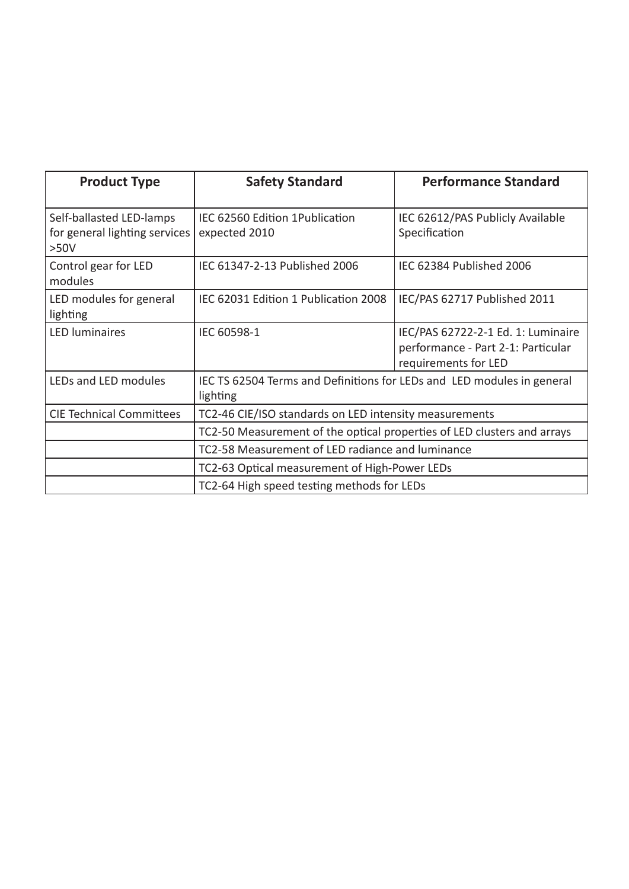| <b>Product Type</b>                                               | <b>Safety Standard</b>                                                             | <b>Performance Standard</b>                                                                      |  |
|-------------------------------------------------------------------|------------------------------------------------------------------------------------|--------------------------------------------------------------------------------------------------|--|
| Self-ballasted LED-lamps<br>for general lighting services<br>>50V | IEC 62560 Edition 1 Publication<br>expected 2010                                   | IEC 62612/PAS Publicly Available<br>Specification                                                |  |
| Control gear for LED<br>modules                                   | IEC 61347-2-13 Published 2006                                                      | IEC 62384 Published 2006                                                                         |  |
| LED modules for general<br>lighting                               | IEC 62031 Edition 1 Publication 2008                                               | IEC/PAS 62717 Published 2011                                                                     |  |
| <b>LED</b> luminaires                                             | IEC 60598-1                                                                        | IEC/PAS 62722-2-1 Ed. 1: Luminaire<br>performance - Part 2-1: Particular<br>requirements for LED |  |
| LEDs and LED modules                                              | IEC TS 62504 Terms and Definitions for LEDs and LED modules in general<br>lighting |                                                                                                  |  |
| <b>CIE Technical Committees</b>                                   | TC2-46 CIE/ISO standards on LED intensity measurements                             |                                                                                                  |  |
|                                                                   | TC2-50 Measurement of the optical properties of LED clusters and arrays            |                                                                                                  |  |
|                                                                   | TC2-58 Measurement of LED radiance and luminance                                   |                                                                                                  |  |
|                                                                   | TC2-63 Optical measurement of High-Power LEDs                                      |                                                                                                  |  |
| TC2-64 High speed testing methods for LEDs                        |                                                                                    |                                                                                                  |  |